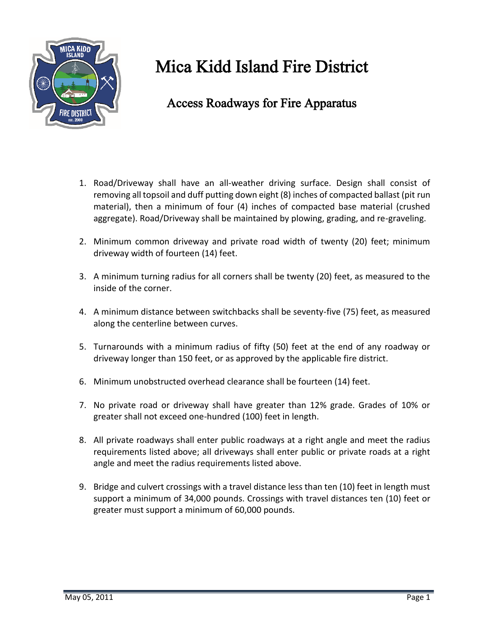

## Mica Kidd Island Fire District

## Access Roadways for Fire Apparatus

- 1. Road/Driveway shall have an all-weather driving surface. Design shall consist of removing all topsoil and duff putting down eight (8) inches of compacted ballast (pit run material), then a minimum of four (4) inches of compacted base material (crushed aggregate). Road/Driveway shall be maintained by plowing, grading, and re-graveling.
- 2. Minimum common driveway and private road width of twenty (20) feet; minimum driveway width of fourteen (14) feet.
- 3. A minimum turning radius for all corners shall be twenty (20) feet, as measured to the inside of the corner.
- 4. A minimum distance between switchbacks shall be seventy-five (75) feet, as measured along the centerline between curves.
- 5. Turnarounds with a minimum radius of fifty (50) feet at the end of any roadway or driveway longer than 150 feet, or as approved by the applicable fire district.
- 6. Minimum unobstructed overhead clearance shall be fourteen (14) feet.
- 7. No private road or driveway shall have greater than 12% grade. Grades of 10% or greater shall not exceed one-hundred (100) feet in length.
- 8. All private roadways shall enter public roadways at a right angle and meet the radius requirements listed above; all driveways shall enter public or private roads at a right angle and meet the radius requirements listed above.
- 9. Bridge and culvert crossings with a travel distance less than ten (10) feet in length must support a minimum of 34,000 pounds. Crossings with travel distances ten (10) feet or greater must support a minimum of 60,000 pounds.